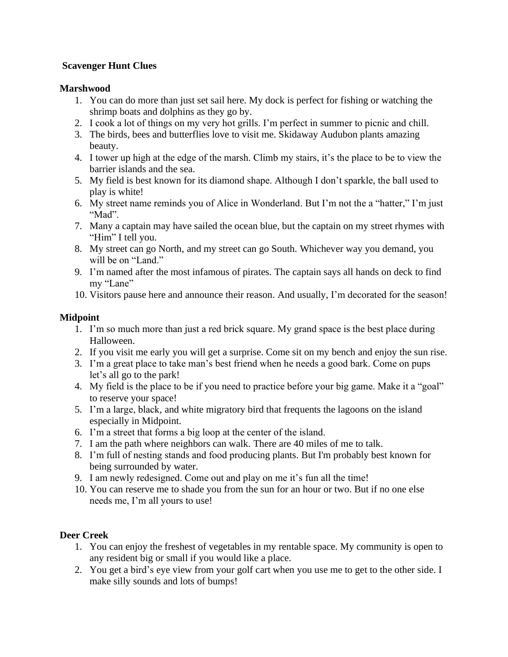## **Scavenger Hunt Clues**

#### **Marshwood**

- 1. You can do more than just set sail here. My dock is perfect for fishing or watching the shrimp boats and dolphins as they go by.
- 2. I cook a lot of things on my very hot grills. I'm perfect in summer to picnic and chill.
- 3. The birds, bees and butterflies love to visit me. Skidaway Audubon plants amazing beauty.
- 4. I tower up high at the edge of the marsh. Climb my stairs, it's the place to be to view the barrier islands and the sea.
- 5. My field is best known for its diamond shape. Although I don't sparkle, the ball used to play is white!
- 6. My street name reminds you of Alice in Wonderland. But I'm not the a "hatter," I'm just "Mad".
- 7. Many a captain may have sailed the ocean blue, but the captain on my street rhymes with "Him" I tell you.
- 8. My street can go North, and my street can go South. Whichever way you demand, you will be on "Land."
- 9. I'm named after the most infamous of pirates. The captain says all hands on deck to find my "Lane"
- 10. Visitors pause here and announce their reason. And usually, I'm decorated for the season!

## **Midpoint**

- 1. I'm so much more than just a red brick square. My grand space is the best place during Halloween.
- 2. If you visit me early you will get a surprise. Come sit on my bench and enjoy the sun rise.
- 3. I'm a great place to take man's best friend when he needs a good bark. Come on pups let's all go to the park!
- 4. My field is the place to be if you need to practice before your big game. Make it a "goal" to reserve your space!
- 5. I'm a large, black, and white migratory bird that frequents the lagoons on the island especially in Midpoint.
- 6. I'm a street that forms a big loop at the center of the island.
- 7. I am the path where neighbors can walk. There are 40 miles of me to talk.
- 8. I'm full of nesting stands and food producing plants. But I'm probably best known for being surrounded by water.
- 9. I am newly redesigned. Come out and play on me it's fun all the time!
- 10. You can reserve me to shade you from the sun for an hour or two. But if no one else needs me, I'm all yours to use!

# **Deer Creek**

- 1. You can enjoy the freshest of vegetables in my rentable space. My community is open to any resident big or small if you would like a place.
- 2. You get a bird's eye view from your golf cart when you use me to get to the other side. I make silly sounds and lots of bumps!